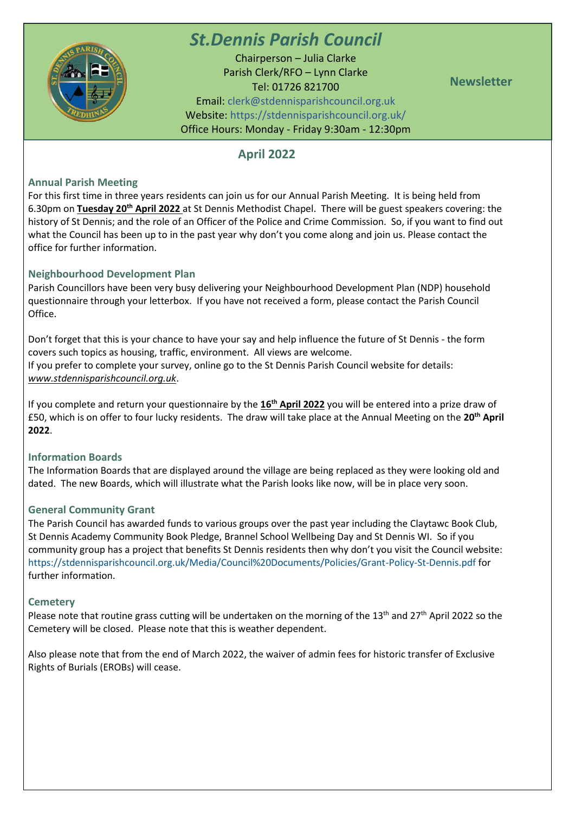

# *St.Dennis Parish Council*

Chairperson – Julia Clarke Parish Clerk/RFO – Lynn Clarke Tel: 01726 821700 Email: [clerk@stdennisparishcouncil.org.uk](mailto:clerk@stdennisparishcouncil.org.uk) Website: https://stdennisparishcouncil.org.uk/ Office Hours: Monday - Friday 9:30am - 12:30pm

**Newsletter**

# **April 2022**

## **Annual Parish Meeting**

For this first time in three years residents can join us for our Annual Parish Meeting. It is being held from 6.30pm on **Tuesday 20th April 2022** at St Dennis Methodist Chapel. There will be guest speakers covering: the history of St Dennis; and the role of an Officer of the Police and Crime Commission. So, if you want to find out what the Council has been up to in the past year why don't you come along and join us. Please contact the office for further information.

## **Neighbourhood Development Plan**

Parish Councillors have been very busy delivering your Neighbourhood Development Plan (NDP) household questionnaire through your letterbox. If you have not received a form, please contact the Parish Council Office.

Don't forget that this is your chance to have your say and help influence the future of St Dennis - the form covers such topics as housing, traffic, environment. All views are welcome. If you prefer to complete your survey, online go to the St Dennis Parish Council website for details: *[www.stdennisparishcouncil.org.uk](http://www.stdennisparishcouncil.org.uk/)*.

If you complete and return your questionnaire by the **16th April 2022** you will be entered into a prize draw of £50, which is on offer to four lucky residents. The draw will take place at the Annual Meeting on the **20 th April 2022**.

#### **Information Boards**

The Information Boards that are displayed around the village are being replaced as they were looking old and dated. The new Boards, which will illustrate what the Parish looks like now, will be in place very soon.

#### **General Community Grant**

The Parish Council has awarded funds to various groups over the past year including the Claytawc Book Club, St Dennis Academy Community Book Pledge, Brannel School Wellbeing Day and St Dennis WI. So if you community group has a project that benefits St Dennis residents then why don't you visit the Council website: <https://stdennisparishcouncil.org.uk/Media/Council%20Documents/Policies/Grant-Policy-St-Dennis.pdf> for further information.

#### **Cemetery**

Please note that routine grass cutting will be undertaken on the morning of the 13<sup>th</sup> and 27<sup>th</sup> April 2022 so the Cemetery will be closed. Please note that this is weather dependent.

Also please note that from the end of March 2022, the waiver of admin fees for historic transfer of Exclusive Rights of Burials (EROBs) will cease.